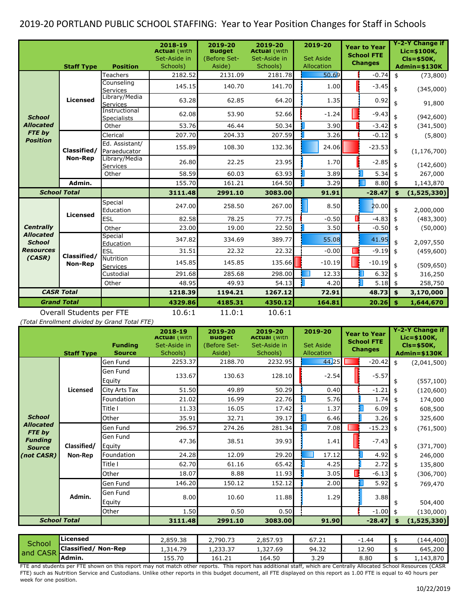## 2019-20 PORTLAND PUBLIC SCHOOL STAFFING: Year to Year Position Changes for Staff in Schools

|                                   | <b>Staff Type</b>             | <b>Position</b>                     | 2018-19<br><b>Actual</b> (with<br>Set-Aside in<br>Schools) | 2019-20<br><b>Budget</b><br>(Before Set-<br>Aside) | 2019-20<br><b>Actual</b> (with<br>Set-Aside in<br>Schools) | 2019-20<br><b>Set Aside</b><br>Allocation |   | <b>Year to Year</b><br><b>School FTE</b><br><b>Changes</b> |               | <b>Y-2-Y Change if</b><br>Lic=\$100K,<br>$Cls = $50K,$<br><b>Admin=\$130K</b> |
|-----------------------------------|-------------------------------|-------------------------------------|------------------------------------------------------------|----------------------------------------------------|------------------------------------------------------------|-------------------------------------------|---|------------------------------------------------------------|---------------|-------------------------------------------------------------------------------|
|                                   | <b>Licensed</b>               | Teachers                            | 2182.52                                                    | 2131.09                                            | 2181.78                                                    | 50.69                                     |   | $-0.74$                                                    | \$            | (73,800)                                                                      |
|                                   |                               | Counselina<br><b>Services</b>       | 145.15                                                     | 140.70                                             | 141.70                                                     | 1.00                                      |   | $-3.45$                                                    | \$            | (345,000)                                                                     |
|                                   |                               | Library/Media<br><b>Services</b>    | 63.28                                                      | 62.85                                              | 64.20                                                      | 1.35                                      |   | 0.92                                                       | \$            | 91,800                                                                        |
| <b>School</b>                     |                               | Instructional<br><b>Specialists</b> | 62.08                                                      | 53.90                                              | 52.66                                                      | $-1.24$                                   |   | $-9.43$                                                    | \$            | (942, 600)                                                                    |
| <b>Allocated</b>                  |                               | Other                               | 53.76                                                      | 46.44                                              | 50.34                                                      | 3.90                                      |   | $-3.42$                                                    | $\frac{1}{2}$ | (341, 500)                                                                    |
| FTE by                            |                               | Clerical                            | 207.70                                                     | 204.33                                             | 207.59                                                     | 3.26                                      |   | $-0.12$                                                    | \$            | (5,800)                                                                       |
| <b>Position</b>                   | Classified/<br><b>Non-Rep</b> | Ed. Assistant/<br>Paraeducator      | 155.89                                                     | 108.30                                             | 132.36                                                     | 24.06                                     |   | $-23.53$                                                   | \$            | (1, 176, 700)                                                                 |
|                                   |                               | Library/Media<br><b>Services</b>    | 26.80                                                      | 22.25                                              | 23.95                                                      | 1.70                                      |   | $-2.85$                                                    | \$            | (142,600)                                                                     |
|                                   |                               | Other                               | 58.59                                                      | 60.03                                              | 63.93                                                      | 3.89                                      |   | 5.34                                                       | \$            | 267,000                                                                       |
|                                   | Admin.                        |                                     | 155.70                                                     | 161.21                                             | 164.50                                                     | 3.29                                      |   | 8.80                                                       | \$            | 1,143,870                                                                     |
| <b>School Total</b>               |                               |                                     | 3111.48                                                    | 2991.10                                            | 3083.00                                                    | 91.91                                     |   | $-28.47$                                                   | \$            | (1,525,330)                                                                   |
|                                   | <b>Licensed</b>               | Special<br>Education                | 247.00                                                     | 258.50                                             | 267.00                                                     | 8.50                                      |   | 20.00                                                      | \$            | 2,000,000                                                                     |
|                                   |                               | ESL                                 | 82.58                                                      | 78.25                                              | 77.75                                                      | $-0.50$                                   |   | $-4.83$                                                    | \$            | (483, 300)                                                                    |
| <b>Centrally</b>                  |                               | Other                               | 23.00                                                      | 19.00                                              | 22.50                                                      | 3.50                                      |   | $-0.50$                                                    | \$            | (50,000)                                                                      |
| <b>Allocated</b><br><b>School</b> |                               | Special<br>Education                | 347.82                                                     | 334.69                                             | 389.77                                                     | 55.08                                     |   | 41.95                                                      | \$            | 2,097,550                                                                     |
| <b>Resources</b>                  |                               | <b>ESL</b>                          | 31.51                                                      | 22.32                                              | 22.32                                                      | $-0.00$                                   | ß | $-9.19$                                                    | \$            | (459,600)                                                                     |
| (CASR)                            | Classified/<br><b>Non-Rep</b> | Nutrition<br>Services               | 145.85                                                     | 145.85                                             | 135.66                                                     | $-10.19$                                  |   | $-10.19$                                                   | \$            | (509, 650)                                                                    |
|                                   |                               | Custodial                           | 291.68                                                     | 285.68                                             | 298.00                                                     | 12.33                                     |   | 6.32                                                       | \$            | 316,250                                                                       |
|                                   |                               | Other                               | 48.95                                                      | 49.93                                              | 54.13                                                      | 4.20                                      |   | $5.18$ \$                                                  |               | 258,750                                                                       |
| <b>CASR Total</b>                 |                               |                                     | 1218.39                                                    | 1194.21                                            | 1267.12                                                    | 72.91                                     |   | 48.73                                                      | \$            | 3,170,000                                                                     |
| <b>Grand Total</b>                |                               |                                     | 4329.86                                                    | 4185.31                                            | 4350.12                                                    | 164.81                                    |   | 20.26                                                      | -\$           | 1,644,670                                                                     |
| Overall Students per FTE          |                               |                                     | 10.6:1                                                     | 11.0:1                                             | 10.6:1                                                     |                                           |   |                                                            |               |                                                                               |

*(Total Enrollment divided by Grand Total FTE)*

|                                 | <b>Staff Type</b>      | <b>Funding</b><br><b>Source</b> | 2018-19<br><b>Actual (WIth</b><br>Set-Aside in<br>Schools) | 2019-20<br><b>Budget</b><br>(Before Set-<br>Aside) | 2019-20<br><b>Actual (WIth</b><br>Set-Aside in<br>Schools) | 2019-20<br><b>Set Aside</b><br>Allocation | <b>Year to Year</b><br><b>School FTE</b><br><b>Changes</b> |                    | Y-2-Y Change if<br>Lic=\$100K,<br>$Cls = $50K,$<br>$Admin = $130K$ |
|---------------------------------|------------------------|---------------------------------|------------------------------------------------------------|----------------------------------------------------|------------------------------------------------------------|-------------------------------------------|------------------------------------------------------------|--------------------|--------------------------------------------------------------------|
|                                 |                        | Gen Fund                        | 2253.37                                                    | 2188.70                                            | 2232.95                                                    | 44.25                                     | $-20.42$                                                   | $\mathbf{\hat{5}}$ | (2,041,500)                                                        |
|                                 |                        | Gen Fund<br>Equity              | 133.67                                                     | 130.63                                             | 128.10                                                     | $-2.54$                                   | $-5.57$                                                    | \$                 | (557, 100)                                                         |
|                                 | Licensed               | City Arts Tax                   | 51.50                                                      | 49.89                                              | 50.29                                                      | 0.40                                      | $-1.21$                                                    | \$                 | (120, 600)                                                         |
|                                 |                        | Foundation                      | 21.02                                                      | 16.99                                              | 22.76                                                      | 5.76                                      | 1.74                                                       |                    | 174,000                                                            |
|                                 |                        | Title I                         | 11.33                                                      | 16.05                                              | 17.42                                                      | 1.37                                      | 6.09                                                       | \$                 | 608,500                                                            |
| <b>School</b>                   |                        | Other                           | 35.91                                                      | 32.71                                              | 39.17                                                      | 6.46                                      | 3.26                                                       |                    | 325,600                                                            |
| <b>Allocated</b><br>FTE by      | Classified/<br>Non-Rep | Gen Fund                        | 296.57                                                     | 274.26                                             | 281.34                                                     | 7.08                                      | $-15.23$                                                   | \$                 | (761, 500)                                                         |
| <b>Fundina</b><br><b>Source</b> |                        | Gen Fund<br>Equity              | 47.36                                                      | 38.51                                              | 39.93                                                      | 1.41                                      | $-7.43$                                                    | \$                 | (371,700)                                                          |
| (not CASR)                      |                        | Foundation                      | 24.28                                                      | 12.09                                              | 29.20                                                      | 17.12                                     | 4.92                                                       | \$                 | 246,000                                                            |
|                                 |                        | Title I                         | 62.70                                                      | 61.16                                              | 65.42                                                      | 4.25                                      | 2.72                                                       |                    | 135,800                                                            |
|                                 |                        | Other                           | 18.07                                                      | 8.88                                               | 11.93                                                      | 3.05                                      | $-6.13$                                                    | \$                 | (306, 700)                                                         |
|                                 | Admin.                 | Gen Fund                        | 146.20                                                     | 150.12                                             | 152.12                                                     | 2.00                                      | 5.92                                                       | \$                 | 769,470                                                            |
|                                 |                        | Gen Fund<br>Equity              | 8.00                                                       | 10.60                                              | 11.88                                                      | 1.29                                      | 3.88                                                       | \$                 | 504,400                                                            |
|                                 |                        | Other                           | 1.50                                                       | 0.50                                               | 0.50                                                       |                                           | $-1.00$                                                    | \$                 | (130,000)                                                          |
| <b>School Total</b>             |                        |                                 | 3111.48                                                    | 2991.10                                            | 3083.00                                                    | 91.90                                     | $-28.47$                                                   | \$                 | (1,525,330)                                                        |
|                                 |                        |                                 |                                                            |                                                    |                                                            |                                           |                                                            |                    |                                                                    |

| <b>School</b><br>and CASR | Licensed                      | 2,859.38 | 2,790.73 | 2,857.93 | 67.21 | 1.40  | (144, 400) |
|---------------------------|-------------------------------|----------|----------|----------|-------|-------|------------|
|                           | Classified/<br><b>Non-Rep</b> | 1,314.79 | 1,233,37 | 1,327.69 | 94.32 | 12.90 | 645,200    |
|                           | <b>Admin.</b>                 | 155.70   | 161.21   | 164.50   | 3.29  | 8.80  | 1,143,870  |
| _______                   | _______                       |          | _____    | .        |       | .     | .          |

FTE and students per FTE shown on this report may not match other reports. This report has additional staff, which are Centrally Allocated School Resources (CASR FTE) such as Nutrition Service and Custodians. Unlike other reports in this budget document, all FTE displayed on this report as 1.00 FTE is equal to 40 hours per week for one position.